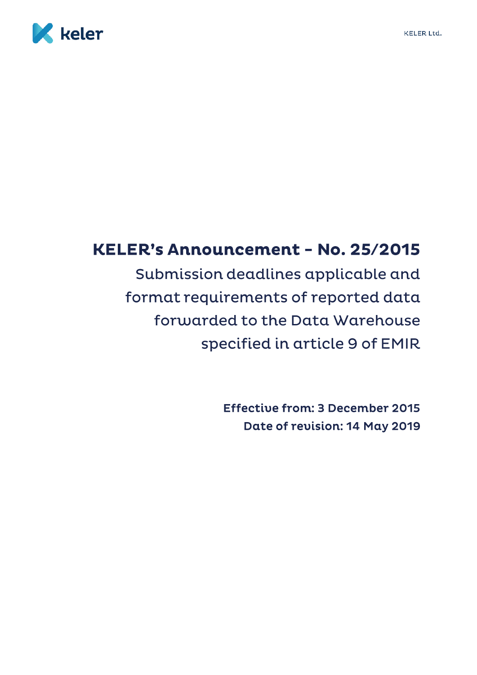

# KELER's Announcement - No. 25/2015

Submission deadlines applicable and format requirements of reported data forwarded to the Data Warehouse specified in article 9 of EMIR

> **Effective from: 3 December 2015** Date of revision: 14 May 2019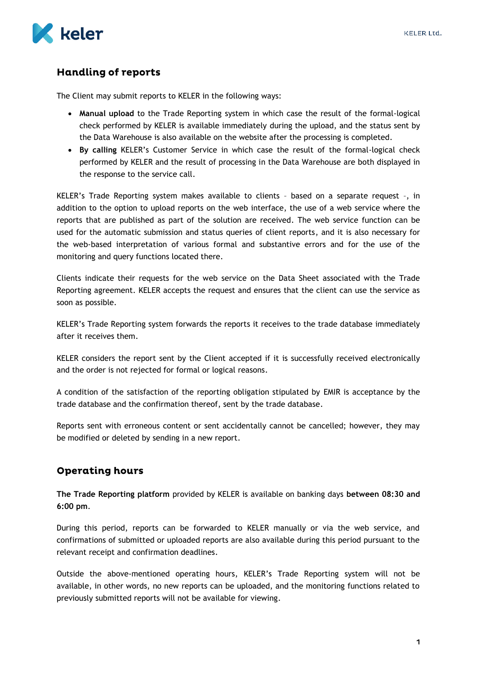

## **Handling of reports**

The Client may submit reports to KELER in the following ways:

- **Manual upload** to the Trade Reporting system in which case the result of the formal-logical check performed by KELER is available immediately during the upload, and the status sent by the Data Warehouse is also available on the website after the processing is completed.
- **By calling** KELER's Customer Service in which case the result of the formal-logical check performed by KELER and the result of processing in the Data Warehouse are both displayed in the response to the service call.

KELER's Trade Reporting system makes available to clients – based on a separate request –, in addition to the option to upload reports on the web interface, the use of a web service where the reports that are published as part of the solution are received. The web service function can be used for the automatic submission and status queries of client reports, and it is also necessary for the web-based interpretation of various formal and substantive errors and for the use of the monitoring and query functions located there.

Clients indicate their requests for the web service on the Data Sheet associated with the Trade Reporting agreement. KELER accepts the request and ensures that the client can use the service as soon as possible.

KELER's Trade Reporting system forwards the reports it receives to the trade database immediately after it receives them.

KELER considers the report sent by the Client accepted if it is successfully received electronically and the order is not rejected for formal or logical reasons.

A condition of the satisfaction of the reporting obligation stipulated by EMIR is acceptance by the trade database and the confirmation thereof, sent by the trade database.

Reports sent with erroneous content or sent accidentally cannot be cancelled; however, they may be modified or deleted by sending in a new report.

### **Operating hours**

**The Trade Reporting platform** provided by KELER is available on banking days **between 08:30 and 6:00 pm**.

During this period, reports can be forwarded to KELER manually or via the web service, and confirmations of submitted or uploaded reports are also available during this period pursuant to the relevant receipt and confirmation deadlines.

Outside the above-mentioned operating hours, KELER's Trade Reporting system will not be available, in other words, no new reports can be uploaded, and the monitoring functions related to previously submitted reports will not be available for viewing.